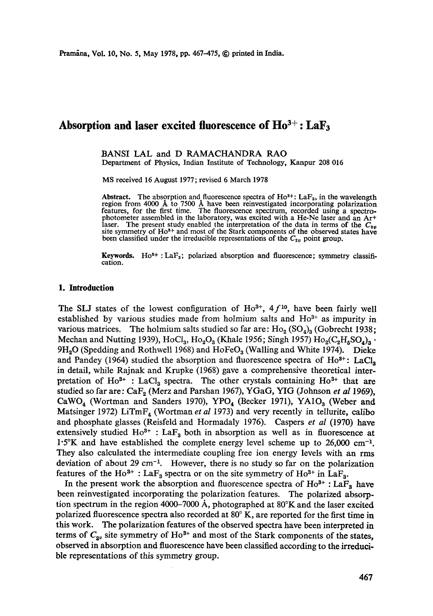# Absorption and laser excited fluorescence of  $Ho^{3+}$ : LaF<sub>3</sub>

BANSI LAL and D RAMACHANDRA RAO Department of Physics, Indian Institute of Technology, Kanpur 208 016

MS received 16 August 1977; revised 6 March 1978

Abstract. The absorption and fluorescence spectra of  $Ho^{3+}$ : LaF<sub>3</sub>, in the wavelength region from 4000 Å to 7500 Å have been reinvestigated incorporating polarization features, for the first time. The fluorescence spectrum, recorded using a spectrophotometer assembled in the laboratory, was excited with a He-Ne laser and an At+ laser. The present study enabled the interpretation of the data in terms of the  $C_{2\nu}$  site symmetry of Ho<sup>3+</sup> and most of the Stark components of the observed states have been classified under the irreducible representations of the  $C_{2v}$  point group.

**Keywords.** Ho<sup>3+</sup> : LaF<sub>3</sub>; polarized absorption and fluorescence; symmetry classification.

#### **1. Introduction**

The SLJ states of the lowest configuration of  $Ho^{3+}$ , 4  $f^{10}$ , have been fairly well established by various studies made from holmium salts and  $Ho^{3+}$  as impurity in various matrices. The holmium salts studied so far are:  $Ho_2(SO_4)_3$  (Gobrecht 1938; Mechan and Nutting 1939), HoCl<sub>a</sub>, Ho<sub>2</sub>O<sub>3</sub> (Khale 1956; Singh 1957) Ho<sub>2</sub>(C<sub>2</sub>H<sub>5</sub>SO<sub>4</sub>)<sub>3</sub> ·  $9H<sub>2</sub>O$  (Spedding and Rothwell 1968) and HoFeO<sub>3</sub> (Walling and White 1974). Dieke and Pandey (1964) studied the absorption and fluorescence spectra of  $Ho^{3+}$ : LaCl, in detail, while Rajnak and Krupke (1968) gave a comprehensive theoretical interpretation of  $Ho^{3+}$  : LaCl<sub>3</sub> spectra. The other crystals containing  $Ho^{3+}$  that are studied so far are: CaF<sub>2</sub> (Merz and Parshan 1967), YGaG, YIG (Johnson et al 1969), CaWO<sub>4</sub> (Wortman and Sanders 1970), YPO<sub>4</sub> (Becker 1971), YA1O<sub>3</sub> (Weber and Matsinger 1972) LiTmF<sub>4</sub> (Wortman *et al* 1973) and very recently in tellurite, calibo and phosphate glasses (Reisfeld and Hormadaly 1976). Caspers *et al* (1970) have extensively studied  $Ho^{3+}$ : La $F_3$  both in absorption as well as in fluorescence at  $1.5\%$  and have established the complete energy level scheme up to 26,000 cm<sup>-1</sup>. They also calculated the intermediate coupling free ion energy levels with an rms deviation of about 29 cm<sup>-1</sup>. However, there is no study so far on the polarization features of the  $Ho^{3+}$ : La $F_3$  spectra or on the site symmetry of  $Ho^{3+}$  in La $F_3$ .

In the present work the absorption and fluorescence spectra of  $Ho^{3+}$ : LaF<sub>3</sub> have been reinvestigated incorporating the polarization features. The polarized absorption spectrum in the region 4000-7000 A, photographed at 80°K and the laser excited polarized fluorescence spectra also recorded at 80° K, are reported for the first time in this work. The polarization features of the observed spectra have been interpreted in terms of  $C_{2v}$  site symmetry of Ho<sup>3+</sup> and most of the Stark components of the states, observed in absorption and fluorescence have been classified according to the irreducible representations of this symmetry group.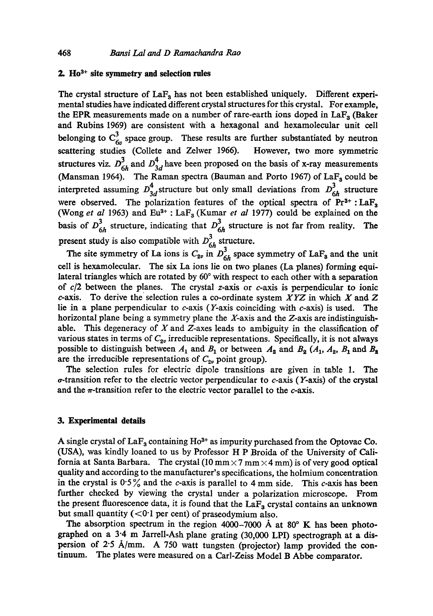## **2.** Ho<sup>3+</sup> site symmetry and selection rules

The crystal structure of La $F_3$  has not been established uniquely. Different experimental studies have indicated different crystal structures for this crystal. For example, the EPR measurements made on a number of rare-earth ions doped in  $LaF<sub>3</sub>$  (Baker and Rubins 1969) are consistent with a hexagonal and hexamolecular unit cell belonging to  $C_{6n}^3$  space group. These results are further substantiated by neutron scattering studies (Collete and Zelwer 1966). However, two more symmetric structures viz.  $D_{6h}^3$  and  $D_{3d}^4$  have been proposed on the basis of x-ray measurements (Mansman 1964). The Raman spectra (Bauman and Porto 1967) of  $LaF<sub>a</sub>$  could be interpreted assuming  $D_{3d}^4$ , structure but only small deviations from  $D_{6h}^3$  structure were observed. The polarization features of the optical spectra of  $Pr<sup>3+</sup>$ : LaF<sub>3</sub> (Wong *et al* 1963) and Eu<sup>3+</sup> : LaF<sub>3</sub> (Kumar *et al* 1977) could be explained on the basis of  $D_{6h}^3$  structure, indicating that  $D_{6h}^3$  structure is not far from reality. The present study is also compatible with  $D_{6h}^3$  structure.

The site symmetry of La ions is  $C_{2\nu}$  in  $D_{6h}^3$  space symmetry of LaF<sub>3</sub> and the unit cell is hexamolecular. The six La ions lie on two planes (La planes) forming equilateral triangles which are rotated by  $60^{\circ}$  with respect to each other with a separation of  $c/2$  between the planes. The crystal z-axis or  $c$ -axis is perpendicular to ionic c-axis. To derive the selection rules a co-ordinate system *XYZ* in which X and Z lie in a plane perpendicular to c-axis (Y-axis coinciding with c-axis) is used. The horizontal plane being a symmetry plane the X-axis and the Z-axis are indistinguishable. This degeneracy of  $X$  and  $Z$ -axes leads to ambiguity in the classification of various states in terms of  $C_{2v}$  irreducible representations. Specifically, it is not always possible to distinguish between  $A_1$  and  $B_1$  or between  $A_2$  and  $B_2$  ( $A_1$ ,  $A_2$ ,  $B_1$  and  $B_2$ are the irreducible representations of  $C_{2\nu}$  point group).

The seleetion rules for electric dipole transitions are given in table 1. The  $\sigma$ -transition refer to the electric vector perpendicular to  $c$ -axis (Y-axis) of the crystal and the  $\pi$ -transition refer to the electric vector parallel to the  $c$ -axis.

#### **3. Experimental details**

A single crystal of  $LaF<sub>3</sub>$  containing Ho<sup>3+</sup> as impurity purchased from the Optovac Co. (USA), was kindly loaned to us by Professor H P Broida of the University of California at Santa Barbara. The crystal  $(10 \text{ mm} \times 7 \text{ mm} \times 4 \text{ mm})$  is of very good optical quality and according to the manufacturer's specifications, the holmium concentration in the crystal is  $0.5\%$  and the c-axis is parallel to 4 mm side. This c-axis has been further checked by viewing the crystal under a polarization microscope. From the present fluorescence data, it is found that the  $LaF<sub>3</sub>$  crystal contains an unknown but small quantity  $( $0.1$  per cent) of praseodymium also.$ 

The absorption spectrum in the region 4000-7000 Å at  $80^\circ$  K has been photographed on a 3.4 m Jarrell-Ash plane grating (30,000 LPI) spectrograph at a dispersion of 2.5  $\text{\AA}/\text{mm}$ . A 750 watt tungsten (projector) lamp provided the continuum. The plates were measured on a Carl-Zeiss Model B Abbe eomparator.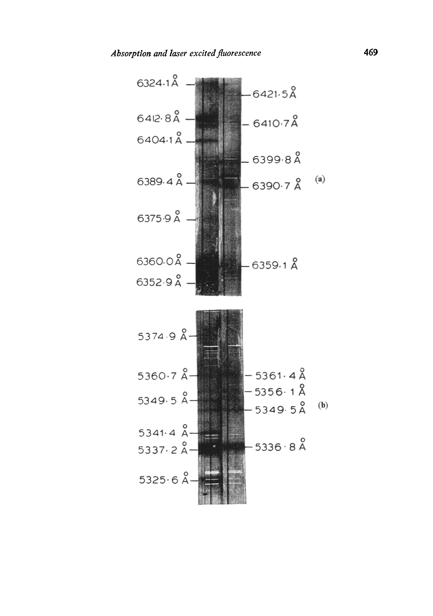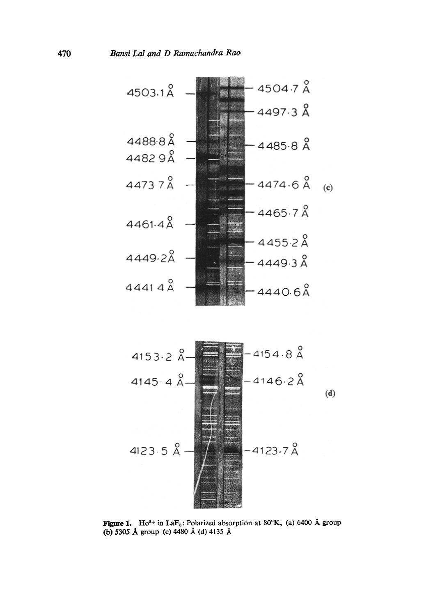



**Figure 1.** Ho<sup>3+</sup> in LaF<sub>3</sub>: Polarized absorption at 80 $^{\circ}$ K, (a) 6400 Å group (b) 5305 Å group (c) 4480 Å (d) 4135 Å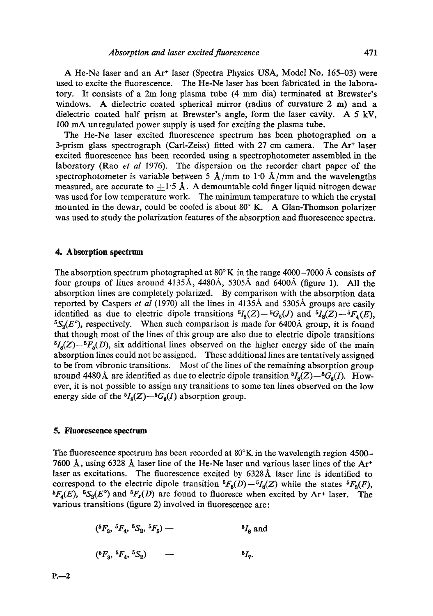A He-Ne laser and an Ar<sup>+</sup> laser (Spectra Physics USA, Model No. 165-03) were used to excite the fluorescence. The He-Ne laser has been fabricated in the laboratory. It consists of a 2m long plasma tube (4 mm dia) terminated at Brewster's windows. A dielectric coated spherical mirror (radius of curvature 2 m) and a dielectric coated half prism at Brewster's angle, form the laser cavity. A 5 kV, 100 mA unregulated power supply is used for exciting the plasma tube.

The He-Ne laser excited fluorescence spectrum has been photographed on a 3-prism glass spectrograph (Carl-Zeiss) fitted with 27 cm camera. The  $Ar<sup>+</sup>$  laser excited fluorescence has been recorded using a spectrophotometer assembled in the laboratory (Rao *et al* 1976). The dispersion on the recorder chart paper of the spectrophotometer is variable between 5 Å/mm to 1.0 Å/mm and the wavelengths measured, are accurate to  $+1.5~\text{\AA}$ . A demountable cold finger liquid nitrogen dewar was used for low temperature work. The minimum temperature to which the crystal mounted in the dewar, could be cooled is about  $80^\circ$  K. A Glan-Thomson polarizer was used to study the polarization features of the absorption and fluorescence spectra.

## **4. Absorption spectrum**

The absorption spectrum photographed at  $80^{\circ}$ K in the range 4000-7000 Å consists of four groups of lines around  $4135\text{\AA}$ ,  $4480\text{\AA}$ ,  $5305\text{\AA}$  and  $6400\text{\AA}$  (figure 1). All the absorption lines are completely polarized. By comparison with the absorption data reported by Caspers *et al* (1970) all the lines in 4135A and 5305A groups are easily identified as due to electric dipole transitions  ${}^5I_8(Z) - {}^5G_5(J)$  and  ${}^5I_8(Z) - {}^5F_4(E)$ ,  ${}^5S_2(E^{\circ})$ , respectively. When such comparison is made for 6400A group, it is found that though most of the lines of this group are also due to electric dipole transitions  ${}^{5}I_{8}(Z) - {}^{5}F_{5}(D)$ , six additional lines observed on the higher energy side of the main absorption lines could not be assigned. These additional lines are tentatively assigned to be from vibronic transitions. Most of the lines of the remaining absorption group around 4480 Å are identified as due to electric dipole transition  ${}^5I_8(Z) - {}^5G_6(I)$ . However, it is not possible to assign any transitions to some ten lines observed on the low energy side of the  $^{5}I_{8}(Z)$ - $^{5}G_{6}(I)$  absorption group.

## **5. Fluorescence spectrum**

The fluorescence spectrum has been recorded at  $80^{\circ}$ K in the wavelength region 4500-7600 Å, using 6328 Å laser line of the He-Ne laser and various laser lines of the  $Ar^+$ laser as excitations. The fluorescence excited by  $6328\text{\AA}$  laser line is identified to correspond to the electric dipole transition  ${}^5F_5(D) - {}^5I_3(Z)$  while the states  ${}^5F_3(F)$ ,  ${}^5F_4(E)$ ,  ${}^5S_2(E^\circ)$  and  ${}^5F_5(D)$  are found to fluoresce when excited by Ar+ laser. The various transitions (figure 2) involved in fluorescence are:

$$
(^{5}F_3, {}^{5}F_4, {}^{5}S_2, {}^{5}F_5) \longrightarrow {}^{5}I_8
$$
 and

$$
({}^{5}F_3, {}^{5}F_4, {}^{5}S_2) \qquad - \qquad \qquad {}^{5}I_7.
$$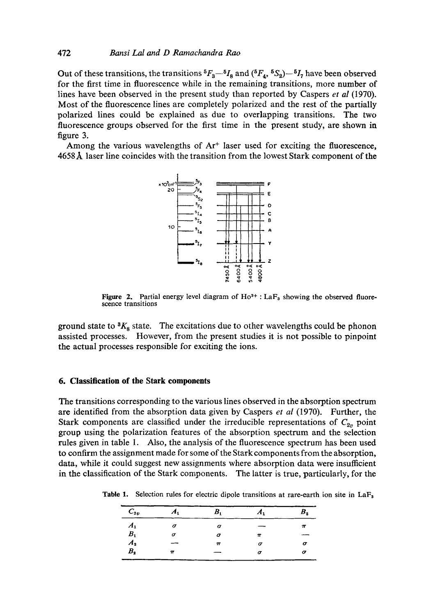#### **472** *Bansi Lal and D Ramachandra Rao*

Out of these transitions, the transitions  ${}^5F_3-{}^5I_8$  and  $({}^5F_4, {}^5S_2) - {}^5I_7$  have been observed **for the first time in fluorescence while in the remaining transitions, more number of lines have been observed in the present study than reported by Caspers** *et al* **(1970). Most of the fluorescence lines are completely polarized and the rest of the partially polarized lines could be explained as due to overlapping transitions. The two fluorescence groups observed for the first time in the present study, are shown in figure 3.** 

Among the various wavelengths of Ar<sup>+</sup> laser used for exciting the fluorescence, **4658 A. laser line coincides with the transition from the lowest Stark component of the** 



**Figure 2.** Partial energy level diagram of  $Ho^{3+}$ :  $LaF_3$  showing the observed fluore**scence transitions** 

ground state to  ${}^3K_8$  state. The excitations due to other wavelengths could be phonon **assisted processes. However, from the present studies it is not possible to pinpoint the actual processes responsible for exciting the ions.** 

#### **6. Classification of the Stark components**

**The transitions corresponding to the various lines observed in the absorption spectrum are identified from the absorption data given by Caspers** *et al* **(1970). Further, the**  Stark components are classified under the irreducible representations of  $C_{2v}$  point **group using the polarization features of the absorption spectrum and the selection rules given in table 1. Also, the analysis of the fluorescence spectrum has been used to confirm the assignment made for some of the Stark components from the absorption, data, while it could suggest new assignments where absorption data were insufficient in the classification of the Stark components. The latter is true, particularly, for the** 

**Table 1. Selection rules for electric dipole transitions at rare-earth ion site in LaFs** 

| A <sub>1</sub>     | В,    | A <sub>1</sub> | в. |
|--------------------|-------|----------------|----|
|                    | σ     |                | π  |
| σ                  | σ     | π              |    |
|                    | $\pi$ | σ              |    |
| $\boldsymbol{\pi}$ |       | σ              |    |
|                    |       |                |    |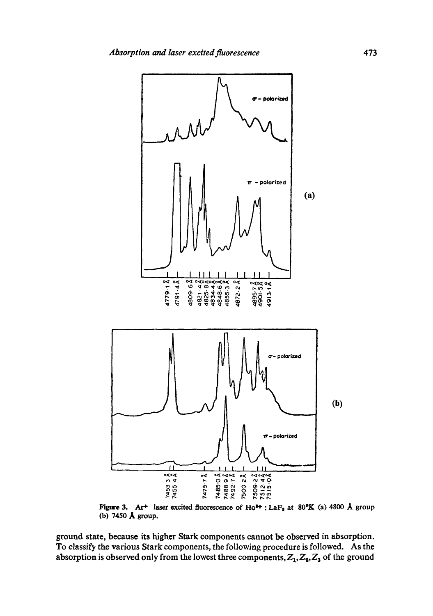

Figure 3. Ar<sup>+</sup> laser excited fluorescence of Ho<sup>++</sup>: LaF<sub>3</sub> at 80°K (a) 4800 Å group (b) 7450 Å group.

ground state, because its higher Stark components cannot be observed in absorption. To classify the various Stark components, the following procedure is followed. As the absorption is observed only from the lowest three components,  $Z_1, Z_2, Z_3$  of the ground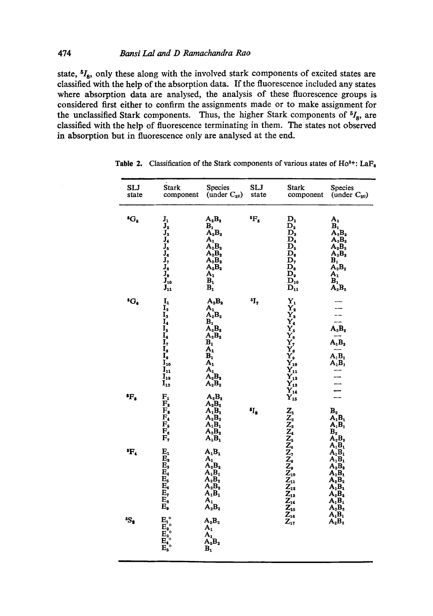state,  ${}^{5}I_{8}$ , only these along with the involved stark components of excited states are classified with the help of the absorption data. If the fluorescence included any states where absorption data are analysed, the analysis of these fluorescence groups is considered first either to confirm the assignments made or to make assignment for the unclassified Stark components. Thus, the higher Stark components of  $^{5}I_{8}$ , are classified with the help of fluorescence terminating in them. The states not observed in absorption but in fluorescence only are analysed at the end.

| SLJ<br>state      | <b>Stark</b><br>component                                                                                                                                                                                  | <b>Species</b><br>(under $C_{2v}$ )                                                                                                                                                                                                      | <b>SLJ</b><br>state | <b>Stark</b><br>component                                                                                                                                                                                         | Species<br>(under $C_{2v}$ )                                                                                                                                                                                         |
|-------------------|------------------------------------------------------------------------------------------------------------------------------------------------------------------------------------------------------------|------------------------------------------------------------------------------------------------------------------------------------------------------------------------------------------------------------------------------------------|---------------------|-------------------------------------------------------------------------------------------------------------------------------------------------------------------------------------------------------------------|----------------------------------------------------------------------------------------------------------------------------------------------------------------------------------------------------------------------|
| ${}^5G_5$         | ${\bf J_1}$<br>$\mathbf{J}_2$<br>$J_3$<br>$J_4$<br>$J_5$<br>$J_6$<br>$J_7^6$<br>$J_8^7$<br>$J_9$<br>$J_{10}$<br>$\mathbf{J}_{11}$                                                                          | $A_2B_2$<br>$\mathbf{B}_1$<br>$\mathbf{A}_2 \mathbf{B}_2$<br>$A_{1}$<br>$\overline{\mathbf{A}_2 \mathbf{B}_2}$<br>$\overline{\mathbf{A}_2 \mathbf{B}_2}$<br>$A_2B_2$<br>$\mathbf{A}_2\mathbf{B}_2$<br>$A_{1}$<br>$B_1$<br>$\mathbf{B}_1$ | <sup>5</sup> F,     | $\mathbf{D_{1}}$<br>$\mathbf{D_2}$<br>$\mathbf{D}_3$<br>$\overline{\mathbf{D}_4}$<br>$\mathbf{D_{5}}$<br>$\mathbf{D}_6$<br>D,<br>$\mathbf{D}_\mathbf{s}$<br>$\mathbf{D}_9$<br>$\mathbf{\bar{D}_{10}}$<br>$D_{11}$ | $A_{1}$<br>$B_1$<br>$\overline{A_2B_2}$<br>$\mathbf{A}_2\mathbf{B}_2$<br>$A_2B_2$<br>$A_2B_2$<br>$\overset{\textbf{B}_1}{\mathbf{A}_2\mathbf{B}_2}$<br>$A_{1}$<br>$\overset{\textbf{B}_1}{\mathbf{A}_2\mathbf{B}_2}$ |
| ${}^5G_6$         | $I_{1}$<br>$\overline{I_2}$<br>$\mathbf{I}_3$<br>$\mathbf{I}_4$<br>Ţ,<br>$\overline{1}$<br>$\mathbf{I}_3$<br>$\overline{\mathbf{I}}_0$<br>$\mathbf{I}_{10}$<br>$I_{11}$<br>$I_{12}$<br>$\mathbf{I}_{13}^-$ | $A_2B_2$<br>$A_{1}$<br>$A_2B_2$<br>$\overline{\mathbf{A}_2 \mathbf{B}_3}$<br>$A_2B_2$<br>$B_1$<br>$\overline{A_1}$<br>$\mathbf{B}_1$<br>$A_1$<br>$A_1$ <sub>2</sub> $B_2$<br>$\mathbf{A}_2 \mathbf{B}_2$                                 | ч,                  | $\mathbf{Y_{1}}$<br>$\mathbf{Y}_2$<br>Y,<br>$\overline{Y}_6^*$<br><b>Address</b><br>Address<br>Andress<br>Andress                                                                                                 | $\overline{\mathbf{A}_2 \mathbf{B}_2}$<br>$A_1B_2$<br>$\overline{\mathbf{A}_1 \mathbf{B}_1}$<br>$\mathbf{A}_1 \mathbf{B}_1$                                                                                          |
| $\rm ^{6}F_3$     | $F_1$<br>${\bf F_2}$<br>$F_{\rm s}$<br>$F_6$<br>$\mathbf{F}_\bullet$<br>F,                                                                                                                                 | $A_2B_2$<br>$A_2B_2$<br>$A_1B_1$<br>$\overline{A_2B_2}$<br>$\mathbf{A}_1 \mathbf{B}_1$<br>$\overline{A_2B_2}$<br>$\mathbf{A}_1 \mathbf{B}_1$                                                                                             | $\mathfrak{sl}_8$   | $Z_{1}$                                                                                                                                                                                                           | $\overset{\mathbf{B_2}}{\mathbf{A_1}} \overset{\mathbf{B_1}}{\mathbf{B_1}}$<br>$\mathbf{A}_1 \mathbf{B}_1$<br>$\overrightarrow{B_2}$ <sub>2</sub> $\overrightarrow{B_3}$<br>$\mathbf{A}_1 \mathbf{B}_1$              |
| $\,^5\!\rm F_{4}$ | $\mathbf{E_{1}}$<br>$\mathbf{E}_{2}$<br>$\mathbf{E}_3$<br>$\mathbf{E}_i$<br>$\mathbf{E}_5$<br>$\mathbf{E}_{\mathbf{s}}$<br>E,<br>$E_{\rm s}$<br>$\mathbf{E}_\mathrm{p}$                                    | $A_1B_1$<br>$A_1$<br>$\tilde{A_2B_2}$<br>$\mathbf{A}_1 \mathbf{B}_1$<br>$\overline{A_2B_2}$<br>$\mathbf{A}_2\mathbf{B}_2$<br>$A_1B_1$<br>$A_{1}$<br>$\mathbf{A}_2 \mathbf{B}_2$                                                          |                     |                                                                                                                                                                                                                   | $A_1B_1$<br>$A_1B_1$<br>$\mathbf{A}_2 \mathbf{B}_2$<br>$A_1B_1$<br>$A_2B_2$<br>$A_1B_1$<br>$A_2B_2$<br>$\Lambda_1 B_1$<br>$A_2B_2$                                                                                   |
| 5S <sub>2</sub>   | $E_1^{\circ}$<br>$\overline{E}_2^1$<br>$\overline{E}_3^2$<br>$\overline{E}_4^3$<br>$\overline{E}_5^4$                                                                                                      | $A_2B_2$<br>$\mathbf{A_{1}}$<br>$\mathbf{A}_1$<br>$\mathbf{A}_2 \mathbf{B}_2$<br>$\mathbf{B}_1$                                                                                                                                          |                     |                                                                                                                                                                                                                   | $A_1B_1$<br>$\overline{A_2B_2}$                                                                                                                                                                                      |

**Table 2.** Classification of the Stark components of various states of  $Ho^{3+}$ : La $F_3$